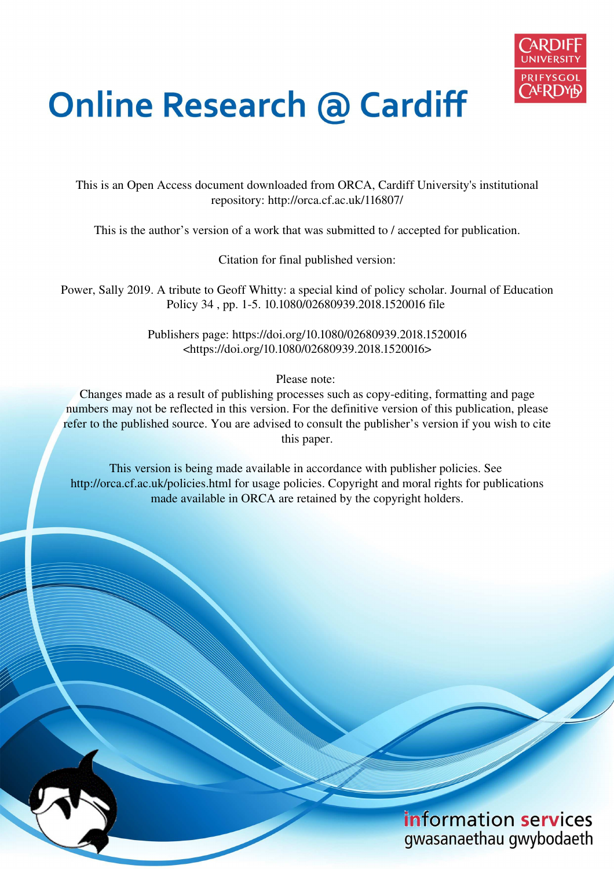

# **Online Research @ Cardiff**

This is an Open Access document downloaded from ORCA, Cardiff University's institutional repository: http://orca.cf.ac.uk/116807/

This is the author's version of a work that was submitted to / accepted for publication.

Citation for final published version:

Power, Sally 2019. A tribute to Geoff Whitty: a special kind of policy scholar. Journal of Education Policy 34 , pp. 1-5. 10.1080/02680939.2018.1520016 file

> Publishers page: https://doi.org/10.1080/02680939.2018.1520016 <https://doi.org/10.1080/02680939.2018.1520016>

> > Please note:

Changes made as a result of publishing processes such as copy-editing, formatting and page numbers may not be reflected in this version. For the definitive version of this publication, please refer to the published source. You are advised to consult the publisher's version if you wish to cite this paper.

This version is being made available in accordance with publisher policies. See http://orca.cf.ac.uk/policies.html for usage policies. Copyright and moral rights for publications made available in ORCA are retained by the copyright holders.

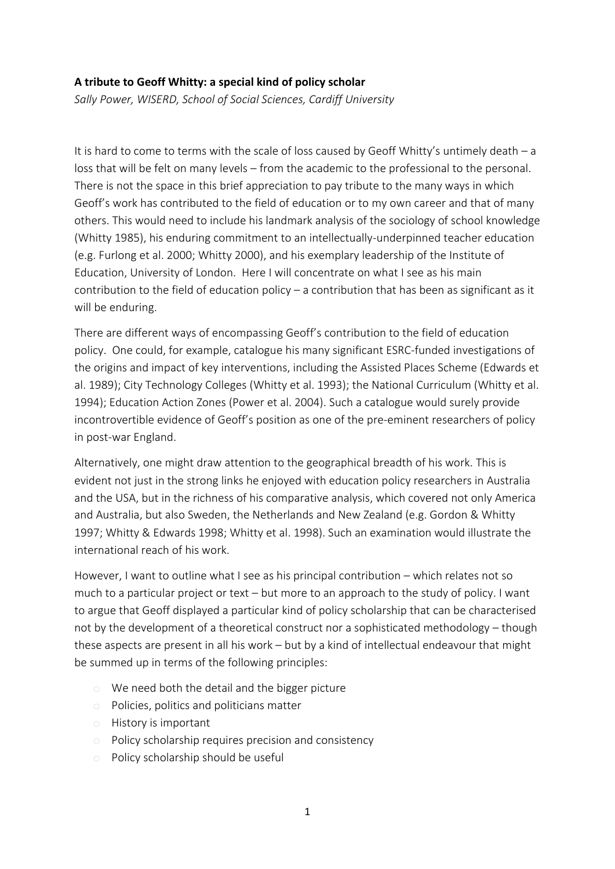## **A tribute to Geoff Whitty: a special kind of policy scholar**

*Sally Power, WISERD, School of Social Sciences, Cardiff University* 

It is hard to come to terms with the scale of loss caused by Geoff Whitty's untimely death – a loss that will be felt on many levels – from the academic to the professional to the personal. There is not the space in this brief appreciation to pay tribute to the many ways in which Geoff's work has contributed to the field of education or to my own career and that of many others. This would need to include his landmark analysis of the sociology of school knowledge (Whitty 1985), his enduring commitment to an intellectually-underpinned teacher education (e.g. Furlong et al. 2000; Whitty 2000), and his exemplary leadership of the Institute of Education, University of London. Here I will concentrate on what I see as his main contribution to the field of education policy – a contribution that has been as significant as it will be enduring.

There are different ways of encompassing Geoff's contribution to the field of education policy. One could, for example, catalogue his many significant ESRC-funded investigations of the origins and impact of key interventions, including the Assisted Places Scheme (Edwards et al. 1989); City Technology Colleges (Whitty et al. 1993); the National Curriculum (Whitty et al. 1994); Education Action Zones (Power et al. 2004). Such a catalogue would surely provide incontrovertible evidence of Geoff's position as one of the pre-eminent researchers of policy in post-war England.

Alternatively, one might draw attention to the geographical breadth of his work. This is evident not just in the strong links he enjoyed with education policy researchers in Australia and the USA, but in the richness of his comparative analysis, which covered not only America and Australia, but also Sweden, the Netherlands and New Zealand (e.g. Gordon & Whitty 1997; Whitty & Edwards 1998; Whitty et al. 1998). Such an examination would illustrate the international reach of his work.

However, I want to outline what I see as his principal contribution – which relates not so much to a particular project or text – but more to an approach to the study of policy. I want to argue that Geoff displayed a particular kind of policy scholarship that can be characterised not by the development of a theoretical construct nor a sophisticated methodology – though these aspects are present in all his work – but by a kind of intellectual endeavour that might be summed up in terms of the following principles:

- o We need both the detail and the bigger picture
- o Policies, politics and politicians matter
- o History is important
- o Policy scholarship requires precision and consistency
- o Policy scholarship should be useful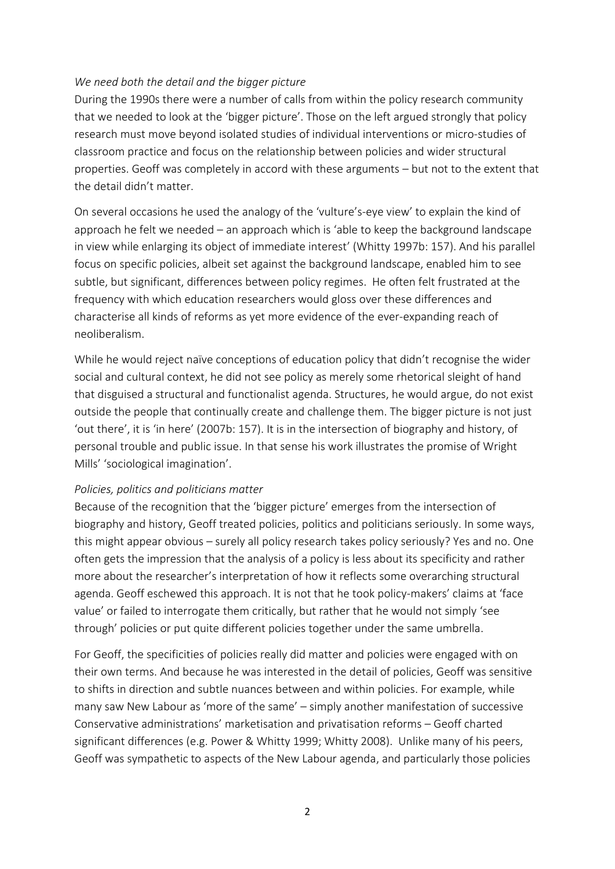### *We need both the detail and the bigger picture*

During the 1990s there were a number of calls from within the policy research community that we needed to look at the 'bigger picture'. Those on the left argued strongly that policy research must move beyond isolated studies of individual interventions or micro-studies of classroom practice and focus on the relationship between policies and wider structural properties. Geoff was completely in accord with these arguments – but not to the extent that the detail didn't matter.

On several occasions he used the analogy of the 'vulture's-eye view' to explain the kind of approach he felt we needed – an approach which is 'able to keep the background landscape in view while enlarging its object of immediate interest' (Whitty 1997b: 157). And his parallel focus on specific policies, albeit set against the background landscape, enabled him to see subtle, but significant, differences between policy regimes. He often felt frustrated at the frequency with which education researchers would gloss over these differences and characterise all kinds of reforms as yet more evidence of the ever-expanding reach of neoliberalism.

While he would reject naïve conceptions of education policy that didn't recognise the wider social and cultural context, he did not see policy as merely some rhetorical sleight of hand that disguised a structural and functionalist agenda. Structures, he would argue, do not exist outside the people that continually create and challenge them. The bigger picture is not just 'out there', it is 'in here' (2007b: 157). It is in the intersection of biography and history, of personal trouble and public issue. In that sense his work illustrates the promise of Wright Mills' 'sociological imagination'.

#### *Policies, politics and politicians matter*

Because of the recognition that the 'bigger picture' emerges from the intersection of biography and history, Geoff treated policies, politics and politicians seriously. In some ways, this might appear obvious – surely all policy research takes policy seriously? Yes and no. One often gets the impression that the analysis of a policy is less about its specificity and rather more about the researcher's interpretation of how it reflects some overarching structural agenda. Geoff eschewed this approach. It is not that he took policy-makers' claims at 'face value' or failed to interrogate them critically, but rather that he would not simply 'see through' policies or put quite different policies together under the same umbrella.

For Geoff, the specificities of policies really did matter and policies were engaged with on their own terms. And because he was interested in the detail of policies, Geoff was sensitive to shifts in direction and subtle nuances between and within policies. For example, while many saw New Labour as 'more of the same' – simply another manifestation of successive Conservative administrations' marketisation and privatisation reforms – Geoff charted significant differences (e.g. Power & Whitty 1999; Whitty 2008). Unlike many of his peers, Geoff was sympathetic to aspects of the New Labour agenda, and particularly those policies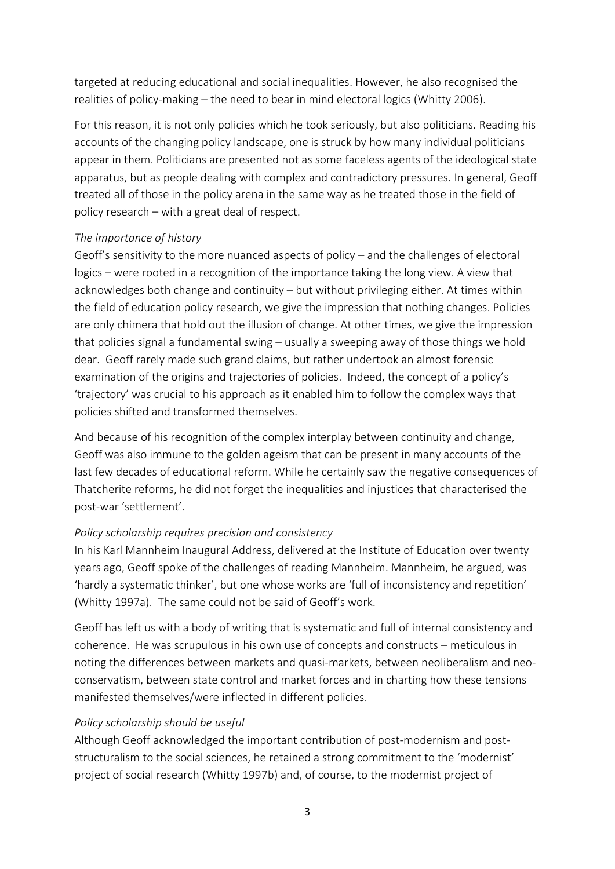targeted at reducing educational and social inequalities. However, he also recognised the realities of policy-making – the need to bear in mind electoral logics (Whitty 2006).

For this reason, it is not only policies which he took seriously, but also politicians. Reading his accounts of the changing policy landscape, one is struck by how many individual politicians appear in them. Politicians are presented not as some faceless agents of the ideological state apparatus, but as people dealing with complex and contradictory pressures. In general, Geoff treated all of those in the policy arena in the same way as he treated those in the field of policy research – with a great deal of respect.

### *The importance of history*

Geoff's sensitivity to the more nuanced aspects of policy – and the challenges of electoral logics – were rooted in a recognition of the importance taking the long view. A view that acknowledges both change and continuity – but without privileging either. At times within the field of education policy research, we give the impression that nothing changes. Policies are only chimera that hold out the illusion of change. At other times, we give the impression that policies signal a fundamental swing – usually a sweeping away of those things we hold dear. Geoff rarely made such grand claims, but rather undertook an almost forensic examination of the origins and trajectories of policies. Indeed, the concept of a policy's 'trajectory' was crucial to his approach as it enabled him to follow the complex ways that policies shifted and transformed themselves.

And because of his recognition of the complex interplay between continuity and change, Geoff was also immune to the golden ageism that can be present in many accounts of the last few decades of educational reform. While he certainly saw the negative consequences of Thatcherite reforms, he did not forget the inequalities and injustices that characterised the post-war 'settlement'.

## *Policy scholarship requires precision and consistency*

In his Karl Mannheim Inaugural Address, delivered at the Institute of Education over twenty years ago, Geoff spoke of the challenges of reading Mannheim. Mannheim, he argued, was 'hardly a systematic thinker', but one whose works are 'full of inconsistency and repetition' (Whitty 1997a). The same could not be said of Geoff's work.

Geoff has left us with a body of writing that is systematic and full of internal consistency and coherence. He was scrupulous in his own use of concepts and constructs – meticulous in noting the differences between markets and quasi-markets, between neoliberalism and neoconservatism, between state control and market forces and in charting how these tensions manifested themselves/were inflected in different policies.

## *Policy scholarship should be useful*

Although Geoff acknowledged the important contribution of post-modernism and poststructuralism to the social sciences, he retained a strong commitment to the 'modernist' project of social research (Whitty 1997b) and, of course, to the modernist project of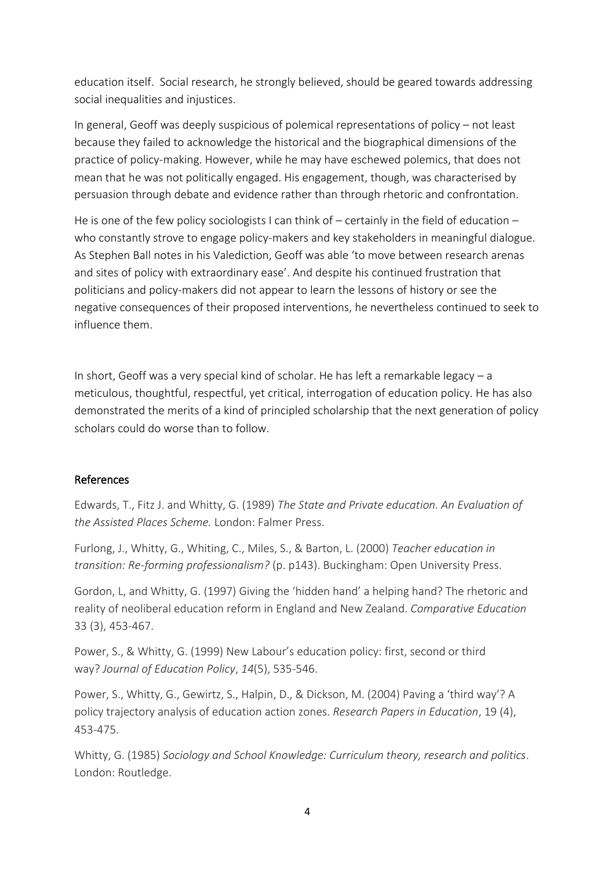education itself. Social research, he strongly believed, should be geared towards addressing social inequalities and injustices.

In general, Geoff was deeply suspicious of polemical representations of policy – not least because they failed to acknowledge the historical and the biographical dimensions of the practice of policy-making. However, while he may have eschewed polemics, that does not mean that he was not politically engaged. His engagement, though, was characterised by persuasion through debate and evidence rather than through rhetoric and confrontation.

He is one of the few policy sociologists I can think of – certainly in the field of education – who constantly strove to engage policy-makers and key stakeholders in meaningful dialogue. As Stephen Ball notes in his Valediction, Geoff was able 'to move between research arenas and sites of policy with extraordinary ease'. And despite his continued frustration that politicians and policy-makers did not appear to learn the lessons of history or see the negative consequences of their proposed interventions, he nevertheless continued to seek to influence them.

In short, Geoff was a very special kind of scholar. He has left a remarkable legacy  $-$  a meticulous, thoughtful, respectful, yet critical, interrogation of education policy. He has also demonstrated the merits of a kind of principled scholarship that the next generation of policy scholars could do worse than to follow.

## References

Edwards, T., Fitz J. and Whitty, G. (1989) *The State and Private education. An Evaluation of the Assisted Places Scheme.* London: Falmer Press.

Furlong, J., Whitty, G., Whiting, C., Miles, S., & Barton, L. (2000) *Teacher education in transition: Re-forming professionalism?* (p. p143). Buckingham: Open University Press.

Gordon, L, and Whitty, G. (1997) Giving the 'hidden hand' a helping hand? The rhetoric and reality of neoliberal education reform in England and New Zealand. *Comparative Education*  33 (3), 453-467.

Power, S., & Whitty, G. (1999) New Labour's education policy: first, second or third way? *Journal of Education Policy*, *14*(5), 535-546.

Power, S., Whitty, G., Gewirtz, S., Halpin, D., & Dickson, M. (2004) Paving a 'third way'? A policy trajectory analysis of education action zones. *Research Papers in Education*, 19 (4), 453-475.

Whitty, G. (1985) *Sociology and School Knowledge: Curriculum theory, research and politics*. London: Routledge.